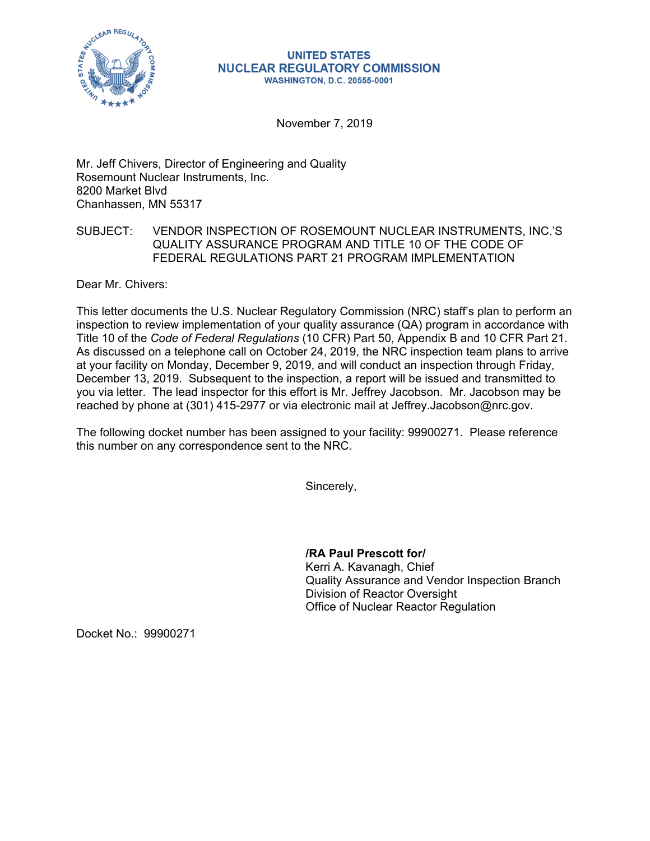

## **UNITED STATES NUCLEAR REGULATORY COMMISSION WASHINGTON, D.C. 20555-0001**

November 7, 2019

Mr. Jeff Chivers, Director of Engineering and Quality Rosemount Nuclear Instruments, Inc. 8200 Market Blvd Chanhassen, MN 55317

## SUBJECT: VENDOR INSPECTION OF ROSEMOUNT NUCLEAR INSTRUMENTS, INC.'S QUALITY ASSURANCE PROGRAM AND TITLE 10 OF THE CODE OF FEDERAL REGULATIONS PART 21 PROGRAM IMPLEMENTATION

Dear Mr. Chivers:

This letter documents the U.S. Nuclear Regulatory Commission (NRC) staff's plan to perform an inspection to review implementation of your quality assurance (QA) program in accordance with Title 10 of the *Code of Federal Regulations* (10 CFR) Part 50, Appendix B and 10 CFR Part 21. As discussed on a telephone call on October 24, 2019, the NRC inspection team plans to arrive at your facility on Monday, December 9, 2019, and will conduct an inspection through Friday, December 13, 2019. Subsequent to the inspection, a report will be issued and transmitted to you via letter. The lead inspector for this effort is Mr. Jeffrey Jacobson. Mr. Jacobson may be reached by phone at (301) 415-2977 or via electronic mail at Jeffrey.Jacobson@nrc.gov.

The following docket number has been assigned to your facility: 99900271. Please reference this number on any correspondence sent to the NRC.

Sincerely,

**/RA Paul Prescott for/**  Kerri A. Kavanagh, Chief Quality Assurance and Vendor Inspection Branch Division of Reactor Oversight Office of Nuclear Reactor Regulation

Docket No.: 99900271